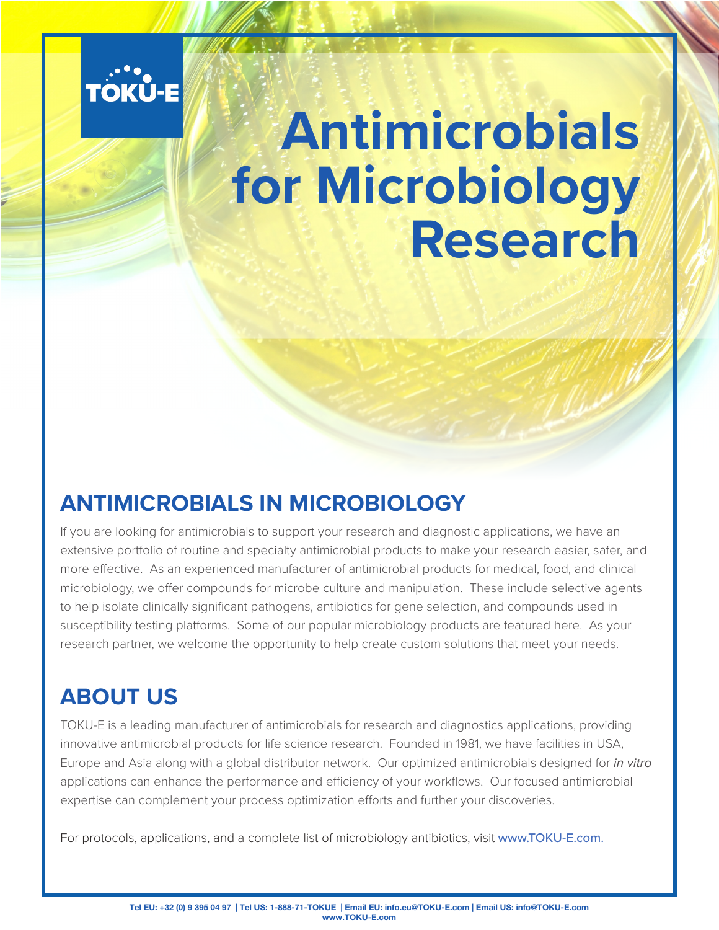

# **Antimicrobials for Microbiology Research**

#### **ANTIMICROBIALS IN MICROBIOLOGY**

If you are looking for antimicrobials to support your research and diagnostic applications, we have an extensive portfolio of routine and specialty antimicrobial products to make your research easier, safer, and more effective. As an experienced manufacturer of antimicrobial products for medical, food, and clinical microbiology, we offer compounds for microbe culture and manipulation. These include selective agents to help isolate clinically significant pathogens, antibiotics for gene selection, and compounds used in susceptibility testing platforms. Some of our popular microbiology products are featured here. As your research partner, we welcome the opportunity to help create custom solutions that meet your needs.

#### **ABOUT US**

TOKU-E is a leading manufacturer of antimicrobials for research and diagnostics applications, providing innovative antimicrobial products for life science research. Founded in 1981, we have facilities in USA, Europe and Asia along with a global distributor network. Our optimized antimicrobials designed for *in vitro* applications can enhance the performance and efficiency of your workflows. Our focused antimicrobial expertise can complement your process optimization efforts and further your discoveries.

For protocols, applications, and a complete list of microbiology antibiotics, visit www.TOKU-E.com.